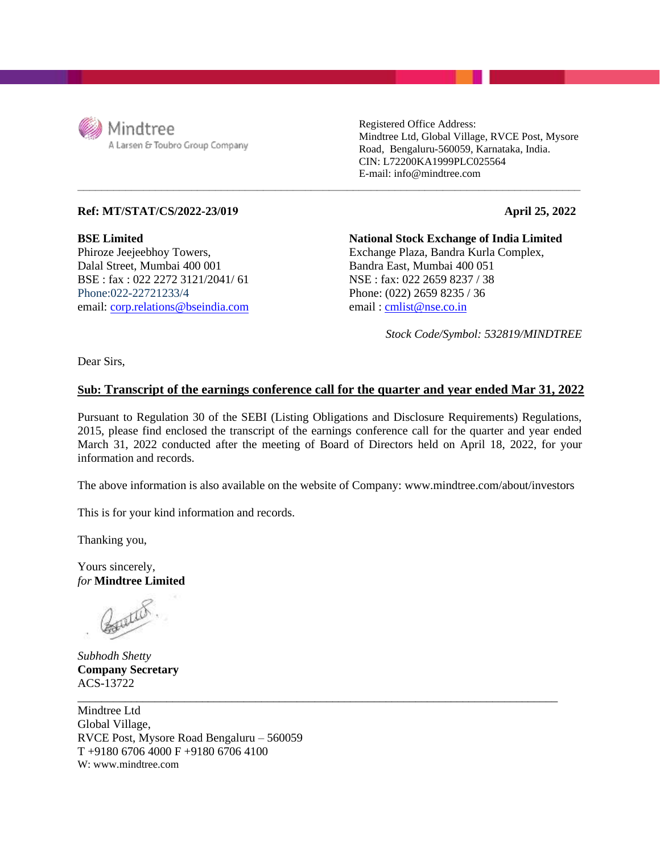

Registered Office Address: Mindtree Ltd, Global Village, RVCE Post, Mysore Road, Bengaluru-560059, Karnataka, India. CIN: L72200KA1999PLC025564 E-mail: info@mindtree.com

## **Ref: MT/STAT/CS/2022-23/019**

**BSE Limited**  Phiroze Jeejeebhoy Towers, Dalal Street, Mumbai 400 001 BSE : fax : 022 2272 3121/2041/ 61 Phone:022-22721233/4 email: [corp.relations@bseindia.com](mailto:corp.relations@bseindia.com) email : [cmlist@nse.co.in](mailto:cmlist@nse.co.in)

**National Stock Exchange of India Limited** Exchange Plaza, Bandra Kurla Complex, Bandra East, Mumbai 400 051 NSE : fax: 022 2659 8237 / 38 Phone: (022) 2659 8235 / 36

*Stock Code/Symbol: 532819/MINDTREE*

**April 25, 2022**

Dear Sirs,

## **Sub: Transcript of the earnings conference call for the quarter and year ended Mar 31, 2022**

**\_\_\_\_\_\_\_\_\_\_\_\_\_\_\_\_\_\_\_\_\_\_\_\_\_\_\_\_\_\_\_\_\_\_\_\_\_\_\_\_\_\_\_\_\_\_\_\_\_\_\_\_\_\_\_\_\_\_\_\_\_\_\_\_\_\_\_\_\_\_\_\_\_\_\_\_\_\_\_\_\_\_\_\_**

Pursuant to Regulation 30 of the SEBI (Listing Obligations and Disclosure Requirements) Regulations, 2015, please find enclosed the transcript of the earnings conference call for the quarter and year ended March 31, 2022 conducted after the meeting of Board of Directors held on April 18, 2022, for your information and records.

The above information is also available on the website of Company: www.mindtree.com/about/investors

\_\_\_\_\_\_\_\_\_\_\_\_\_\_\_\_\_\_\_\_\_\_\_\_\_\_\_\_\_\_\_\_\_\_\_\_\_\_\_\_\_\_\_\_\_\_\_\_\_\_\_\_\_\_\_\_\_\_\_\_\_\_\_\_\_\_\_\_\_\_\_\_\_\_\_\_\_\_\_\_\_

This is for your kind information and records.

Thanking you,

Yours sincerely, *for* **Mindtree Limited**

Country

*Subhodh Shetty* **Company Secretary** ACS-13722

Mindtree Ltd Global Village, RVCE Post, Mysore Road Bengaluru – 560059 T +9180 6706 4000 F +9180 6706 4100 W: www.mindtree.com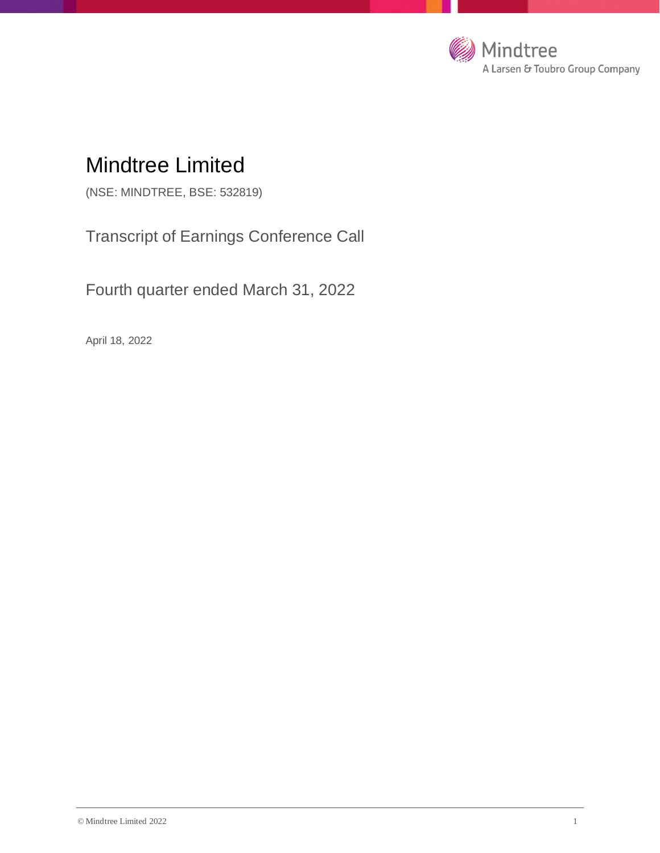

# Mindtree Limited

(NSE: MINDTREE, BSE: 532819)

Transcript of Earnings Conference Call

Fourth quarter ended March 31, 2022

April 18, 2022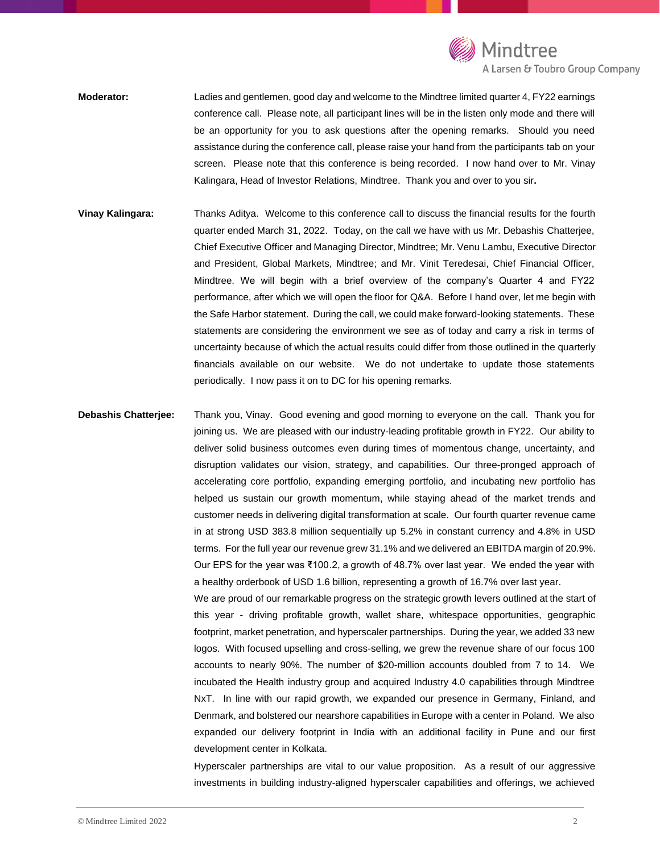

**Moderator:** Ladies and gentlemen, good day and welcome to the Mindtree limited quarter 4, FY22 earnings conference call. Please note, all participant lines will be in the listen only mode and there will be an opportunity for you to ask questions after the opening remarks. Should you need assistance during the conference call, please raise your hand from the participants tab on your screen. Please note that this conference is being recorded. I now hand over to Mr. Vinay Kalingara, Head of Investor Relations, Mindtree. Thank you and over to you sir**.**

**Vinay Kalingara:** Thanks Aditya. Welcome to this conference call to discuss the financial results for the fourth quarter ended March 31, 2022. Today, on the call we have with us Mr. Debashis Chatterjee, Chief Executive Officer and Managing Director, Mindtree; Mr. Venu Lambu, Executive Director and President, Global Markets, Mindtree; and Mr. Vinit Teredesai, Chief Financial Officer, Mindtree. We will begin with a brief overview of the company's Quarter 4 and FY22 performance, after which we will open the floor for Q&A. Before I hand over, let me begin with the Safe Harbor statement. During the call, we could make forward-looking statements. These statements are considering the environment we see as of today and carry a risk in terms of uncertainty because of which the actual results could differ from those outlined in the quarterly financials available on our website. We do not undertake to update those statements periodically. I now pass it on to DC for his opening remarks.

**Debashis Chatterjee:** Thank you, Vinay. Good evening and good morning to everyone on the call. Thank you for joining us. We are pleased with our industry-leading profitable growth in FY22. Our ability to deliver solid business outcomes even during times of momentous change, uncertainty, and disruption validates our vision, strategy, and capabilities. Our three-pronged approach of accelerating core portfolio, expanding emerging portfolio, and incubating new portfolio has helped us sustain our growth momentum, while staying ahead of the market trends and customer needs in delivering digital transformation at scale. Our fourth quarter revenue came in at strong USD 383.8 million sequentially up 5.2% in constant currency and 4.8% in USD terms. For the full year our revenue grew 31.1% and we delivered an EBITDA margin of 20.9%. Our EPS for the year was ₹100.2, a growth of 48.7% over last year. We ended the year with a healthy orderbook of USD 1.6 billion, representing a growth of 16.7% over last year. We are proud of our remarkable progress on the strategic growth levers outlined at the start of

this year - driving profitable growth, wallet share, whitespace opportunities, geographic footprint, market penetration, and hyperscaler partnerships. During the year, we added 33 new logos. With focused upselling and cross-selling, we grew the revenue share of our focus 100 accounts to nearly 90%. The number of \$20-million accounts doubled from 7 to 14. We incubated the Health industry group and acquired Industry 4.0 capabilities through Mindtree NxT. In line with our rapid growth, we expanded our presence in Germany, Finland, and Denmark, and bolstered our nearshore capabilities in Europe with a center in Poland. We also expanded our delivery footprint in India with an additional facility in Pune and our first development center in Kolkata.

Hyperscaler partnerships are vital to our value proposition. As a result of our aggressive investments in building industry-aligned hyperscaler capabilities and offerings, we achieved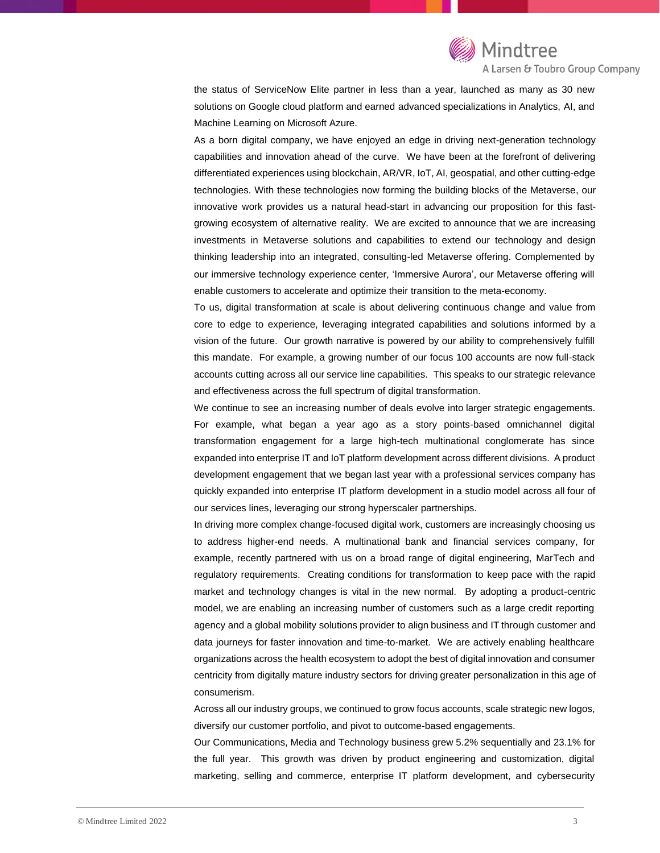

the status of ServiceNow Elite partner in less than a year, launched as many as 30 new solutions on Google cloud platform and earned advanced specializations in Analytics, AI, and Machine Learning on Microsoft Azure.

As a born digital company, we have enjoyed an edge in driving next-generation technology capabilities and innovation ahead of the curve. We have been at the forefront of delivering differentiated experiences using blockchain, AR/VR, IoT, AI, geospatial, and other cutting-edge technologies. With these technologies now forming the building blocks of the Metaverse, our innovative work provides us a natural head-start in advancing our proposition for this fastgrowing ecosystem of alternative reality. We are excited to announce that we are increasing investments in Metaverse solutions and capabilities to extend our technology and design thinking leadership into an integrated, consulting-led Metaverse offering. Complemented by our immersive technology experience center, 'Immersive Aurora', our Metaverse offering will enable customers to accelerate and optimize their transition to the meta-economy.

To us, digital transformation at scale is about delivering continuous change and value from core to edge to experience, leveraging integrated capabilities and solutions informed by a vision of the future. Our growth narrative is powered by our ability to comprehensively fulfill this mandate. For example, a growing number of our focus 100 accounts are now full-stack accounts cutting across all our service line capabilities. This speaks to our strategic relevance and effectiveness across the full spectrum of digital transformation.

We continue to see an increasing number of deals evolve into larger strategic engagements. For example, what began a year ago as a story points-based omnichannel digital transformation engagement for a large high-tech multinational conglomerate has since expanded into enterprise IT and IoT platform development across different divisions. A product development engagement that we began last year with a professional services company has quickly expanded into enterprise IT platform development in a studio model across all four of our services lines, leveraging our strong hyperscaler partnerships.

In driving more complex change-focused digital work, customers are increasingly choosing us to address higher-end needs. A multinational bank and financial services company, for example, recently partnered with us on a broad range of digital engineering, MarTech and regulatory requirements. Creating conditions for transformation to keep pace with the rapid market and technology changes is vital in the new normal. By adopting a product-centric model, we are enabling an increasing number of customers such as a large credit reporting agency and a global mobility solutions provider to align business and IT through customer and data journeys for faster innovation and time-to-market. We are actively enabling healthcare organizations across the health ecosystem to adopt the best of digital innovation and consumer centricity from digitally mature industry sectors for driving greater personalization in this age of consumerism.

Across all our industry groups, we continued to grow focus accounts, scale strategic new logos, diversify our customer portfolio, and pivot to outcome-based engagements.

Our Communications, Media and Technology business grew 5.2% sequentially and 23.1% for the full year. This growth was driven by product engineering and customization, digital marketing, selling and commerce, enterprise IT platform development, and cybersecurity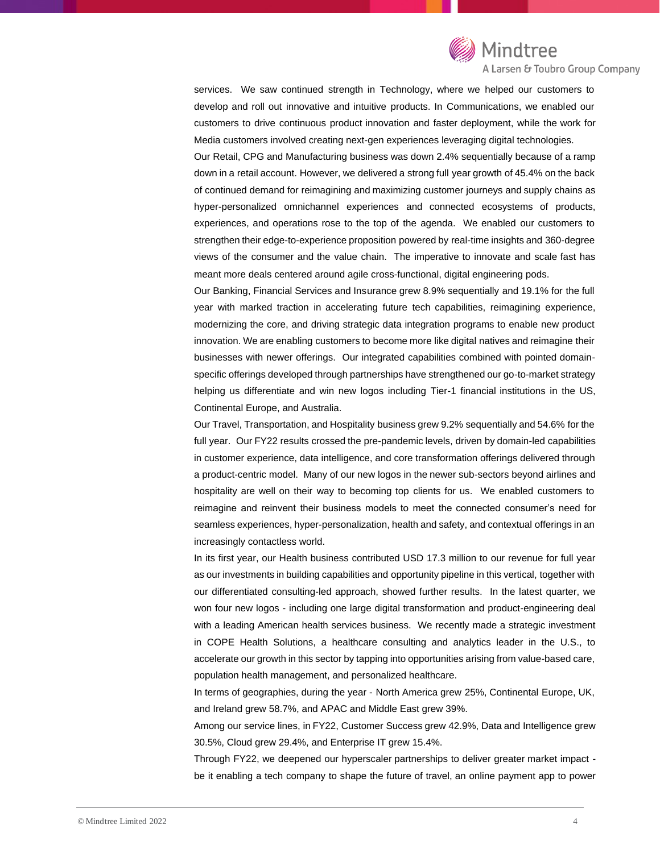

A Larsen & Toubro Group Company

services. We saw continued strength in Technology, where we helped our customers to develop and roll out innovative and intuitive products. In Communications, we enabled our customers to drive continuous product innovation and faster deployment, while the work for Media customers involved creating next-gen experiences leveraging digital technologies.

Our Retail, CPG and Manufacturing business was down 2.4% sequentially because of a ramp down in a retail account. However, we delivered a strong full year growth of 45.4% on the back of continued demand for reimagining and maximizing customer journeys and supply chains as hyper-personalized omnichannel experiences and connected ecosystems of products, experiences, and operations rose to the top of the agenda. We enabled our customers to strengthen their edge-to-experience proposition powered by real-time insights and 360-degree views of the consumer and the value chain. The imperative to innovate and scale fast has meant more deals centered around agile cross-functional, digital engineering pods.

Our Banking, Financial Services and Insurance grew 8.9% sequentially and 19.1% for the full year with marked traction in accelerating future tech capabilities, reimagining experience, modernizing the core, and driving strategic data integration programs to enable new product innovation. We are enabling customers to become more like digital natives and reimagine their businesses with newer offerings. Our integrated capabilities combined with pointed domainspecific offerings developed through partnerships have strengthened our go-to-market strategy helping us differentiate and win new logos including Tier-1 financial institutions in the US, Continental Europe, and Australia.

Our Travel, Transportation, and Hospitality business grew 9.2% sequentially and 54.6% for the full year. Our FY22 results crossed the pre-pandemic levels, driven by domain-led capabilities in customer experience, data intelligence, and core transformation offerings delivered through a product-centric model. Many of our new logos in the newer sub-sectors beyond airlines and hospitality are well on their way to becoming top clients for us. We enabled customers to reimagine and reinvent their business models to meet the connected consumer's need for seamless experiences, hyper-personalization, health and safety, and contextual offerings in an increasingly contactless world.

In its first year, our Health business contributed USD 17.3 million to our revenue for full year as our investments in building capabilities and opportunity pipeline in this vertical, together with our differentiated consulting-led approach, showed further results. In the latest quarter, we won four new logos - including one large digital transformation and product-engineering deal with a leading American health services business. We recently made a strategic investment in COPE Health Solutions, a healthcare consulting and analytics leader in the U.S., to accelerate our growth in this sector by tapping into opportunities arising from value-based care, population health management, and personalized healthcare.

In terms of geographies, during the year - North America grew 25%, Continental Europe, UK, and Ireland grew 58.7%, and APAC and Middle East grew 39%.

Among our service lines, in FY22, Customer Success grew 42.9%, Data and Intelligence grew 30.5%, Cloud grew 29.4%, and Enterprise IT grew 15.4%.

Through FY22, we deepened our hyperscaler partnerships to deliver greater market impact be it enabling a tech company to shape the future of travel, an online payment app to power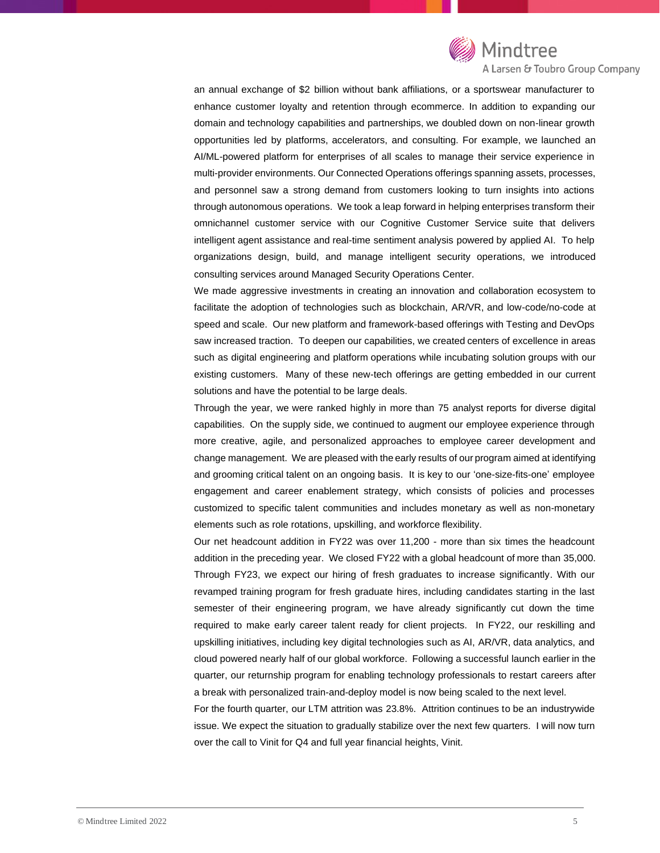

## A Larsen & Toubro Group Company

an annual exchange of \$2 billion without bank affiliations, or a sportswear manufacturer to enhance customer loyalty and retention through ecommerce. In addition to expanding our domain and technology capabilities and partnerships, we doubled down on non-linear growth opportunities led by platforms, accelerators, and consulting. For example, we launched an AI/ML-powered platform for enterprises of all scales to manage their service experience in multi-provider environments. Our Connected Operations offerings spanning assets, processes, and personnel saw a strong demand from customers looking to turn insights into actions through autonomous operations. We took a leap forward in helping enterprises transform their omnichannel customer service with our Cognitive Customer Service suite that delivers intelligent agent assistance and real-time sentiment analysis powered by applied AI. To help organizations design, build, and manage intelligent security operations, we introduced consulting services around Managed Security Operations Center.

We made aggressive investments in creating an innovation and collaboration ecosystem to facilitate the adoption of technologies such as blockchain, AR/VR, and low-code/no-code at speed and scale. Our new platform and framework-based offerings with Testing and DevOps saw increased traction. To deepen our capabilities, we created centers of excellence in areas such as digital engineering and platform operations while incubating solution groups with our existing customers. Many of these new-tech offerings are getting embedded in our current solutions and have the potential to be large deals.

Through the year, we were ranked highly in more than 75 analyst reports for diverse digital capabilities. On the supply side, we continued to augment our employee experience through more creative, agile, and personalized approaches to employee career development and change management. We are pleased with the early results of our program aimed at identifying and grooming critical talent on an ongoing basis. It is key to our 'one-size-fits-one' employee engagement and career enablement strategy, which consists of policies and processes customized to specific talent communities and includes monetary as well as non-monetary elements such as role rotations, upskilling, and workforce flexibility.

Our net headcount addition in FY22 was over 11,200 - more than six times the headcount addition in the preceding year. We closed FY22 with a global headcount of more than 35,000. Through FY23, we expect our hiring of fresh graduates to increase significantly. With our revamped training program for fresh graduate hires, including candidates starting in the last semester of their engineering program, we have already significantly cut down the time required to make early career talent ready for client projects. In FY22, our reskilling and upskilling initiatives, including key digital technologies such as AI, AR/VR, data analytics, and cloud powered nearly half of our global workforce. Following a successful launch earlier in the quarter, our returnship program for enabling technology professionals to restart careers after a break with personalized train-and-deploy model is now being scaled to the next level.

For the fourth quarter, our LTM attrition was 23.8%. Attrition continues to be an industrywide issue. We expect the situation to gradually stabilize over the next few quarters. I will now turn over the call to Vinit for Q4 and full year financial heights, Vinit.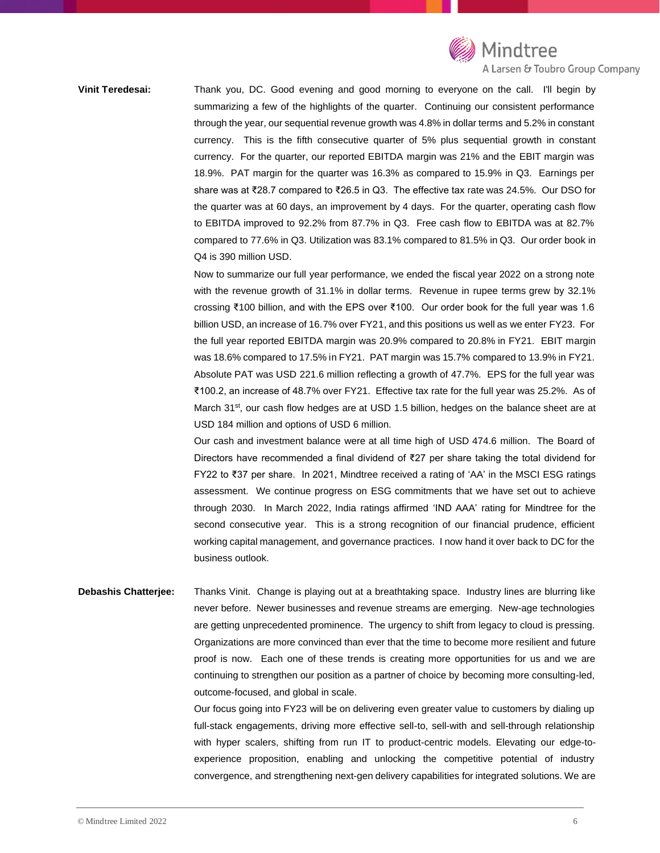

**Vinit Teredesai:** Thank you, DC. Good evening and good morning to everyone on the call. I'll begin by summarizing a few of the highlights of the quarter. Continuing our consistent performance through the year, our sequential revenue growth was 4.8% in dollar terms and 5.2% in constant currency. This is the fifth consecutive quarter of 5% plus sequential growth in constant currency. For the quarter, our reported EBITDA margin was 21% and the EBIT margin was 18.9%. PAT margin for the quarter was 16.3% as compared to 15.9% in Q3. Earnings per share was at ₹28.7 compared to ₹26.5 in Q3. The effective tax rate was 24.5%. Our DSO for the quarter was at 60 days, an improvement by 4 days. For the quarter, operating cash flow to EBITDA improved to 92.2% from 87.7% in Q3. Free cash flow to EBITDA was at 82.7% compared to 77.6% in Q3. Utilization was 83.1% compared to 81.5% in Q3. Our order book in Q4 is 390 million USD.

> Now to summarize our full year performance, we ended the fiscal year 2022 on a strong note with the revenue growth of 31.1% in dollar terms. Revenue in rupee terms grew by 32.1% crossing ₹100 billion, and with the EPS over ₹100. Our order book for the full year was 1.6 billion USD, an increase of 16.7% over FY21, and this positions us well as we enter FY23. For the full year reported EBITDA margin was 20.9% compared to 20.8% in FY21. EBIT margin was 18.6% compared to 17.5% in FY21. PAT margin was 15.7% compared to 13.9% in FY21. Absolute PAT was USD 221.6 million reflecting a growth of 47.7%. EPS for the full year was ₹100.2, an increase of 48.7% over FY21. Effective tax rate for the full year was 25.2%. As of March 31<sup>st</sup>, our cash flow hedges are at USD 1.5 billion, hedges on the balance sheet are at USD 184 million and options of USD 6 million.

> Our cash and investment balance were at all time high of USD 474.6 million. The Board of Directors have recommended a final dividend of ₹27 per share taking the total dividend for FY22 to ₹37 per share. In 2021, Mindtree received a rating of 'AA' in the MSCI ESG ratings assessment. We continue progress on ESG commitments that we have set out to achieve through 2030. In March 2022, India ratings affirmed 'IND AAA' rating for Mindtree for the second consecutive year. This is a strong recognition of our financial prudence, efficient working capital management, and governance practices. I now hand it over back to DC for the business outlook.

**Debashis Chatterjee:** Thanks Vinit. Change is playing out at a breathtaking space. Industry lines are blurring like never before. Newer businesses and revenue streams are emerging. New-age technologies are getting unprecedented prominence. The urgency to shift from legacy to cloud is pressing. Organizations are more convinced than ever that the time to become more resilient and future proof is now. Each one of these trends is creating more opportunities for us and we are continuing to strengthen our position as a partner of choice by becoming more consulting-led, outcome-focused, and global in scale.

> Our focus going into FY23 will be on delivering even greater value to customers by dialing up full-stack engagements, driving more effective sell-to, sell-with and sell-through relationship with hyper scalers, shifting from run IT to product-centric models. Elevating our edge-toexperience proposition, enabling and unlocking the competitive potential of industry convergence, and strengthening next-gen delivery capabilities for integrated solutions. We are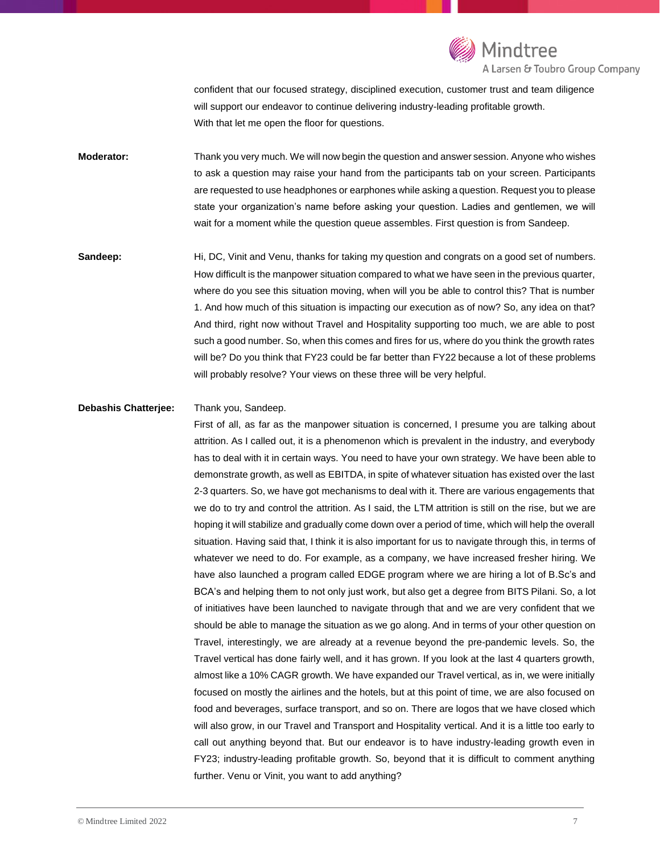

confident that our focused strategy, disciplined execution, customer trust and team diligence will support our endeavor to continue delivering industry-leading profitable growth. With that let me open the floor for questions.

**Moderator:** Thank you very much. We will now begin the question and answer session. Anyone who wishes to ask a question may raise your hand from the participants tab on your screen. Participants are requested to use headphones or earphones while asking a question. Request you to please state your organization's name before asking your question. Ladies and gentlemen, we will wait for a moment while the question queue assembles. First question is from Sandeep.

**Sandeep:** Hi, DC, Vinit and Venu, thanks for taking my question and congrats on a good set of numbers. How difficult is the manpower situation compared to what we have seen in the previous quarter, where do you see this situation moving, when will you be able to control this? That is number 1. And how much of this situation is impacting our execution as of now? So, any idea on that? And third, right now without Travel and Hospitality supporting too much, we are able to post such a good number. So, when this comes and fires for us, where do you think the growth rates will be? Do you think that FY23 could be far better than FY22 because a lot of these problems will probably resolve? Your views on these three will be very helpful.

### **Debashis Chatterjee:** Thank you, Sandeep.

First of all, as far as the manpower situation is concerned, I presume you are talking about attrition. As I called out, it is a phenomenon which is prevalent in the industry, and everybody has to deal with it in certain ways. You need to have your own strategy. We have been able to demonstrate growth, as well as EBITDA, in spite of whatever situation has existed over the last 2-3 quarters. So, we have got mechanisms to deal with it. There are various engagements that we do to try and control the attrition. As I said, the LTM attrition is still on the rise, but we are hoping it will stabilize and gradually come down over a period of time, which will help the overall situation. Having said that, I think it is also important for us to navigate through this, in terms of whatever we need to do. For example, as a company, we have increased fresher hiring. We have also launched a program called EDGE program where we are hiring a lot of B.Sc's and BCA's and helping them to not only just work, but also get a degree from BITS Pilani. So, a lot of initiatives have been launched to navigate through that and we are very confident that we should be able to manage the situation as we go along. And in terms of your other question on Travel, interestingly, we are already at a revenue beyond the pre-pandemic levels. So, the Travel vertical has done fairly well, and it has grown. If you look at the last 4 quarters growth, almost like a 10% CAGR growth. We have expanded our Travel vertical, as in, we were initially focused on mostly the airlines and the hotels, but at this point of time, we are also focused on food and beverages, surface transport, and so on. There are logos that we have closed which will also grow, in our Travel and Transport and Hospitality vertical. And it is a little too early to call out anything beyond that. But our endeavor is to have industry-leading growth even in FY23; industry-leading profitable growth. So, beyond that it is difficult to comment anything further. Venu or Vinit, you want to add anything?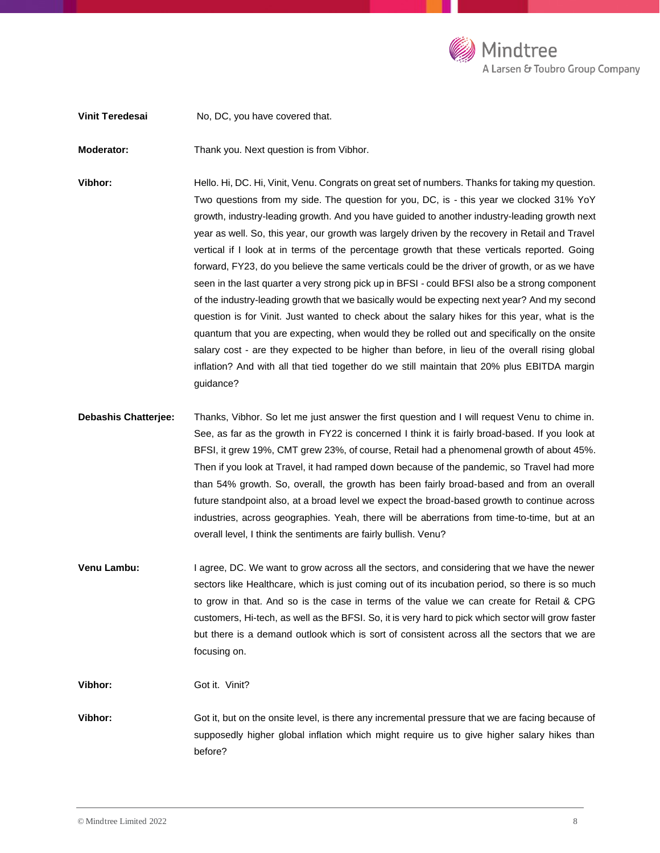

**Vinit Teredesai** No, DC, you have covered that.

**Moderator:** Thank you. Next question is from Vibhor.

Vibhor: Hello. Hi, DC. Hi, Vinit, Venu. Congrats on great set of numbers. Thanks for taking my question. Two questions from my side. The question for you, DC, is - this year we clocked 31% YoY growth, industry-leading growth. And you have guided to another industry-leading growth next year as well. So, this year, our growth was largely driven by the recovery in Retail and Travel vertical if I look at in terms of the percentage growth that these verticals reported. Going forward, FY23, do you believe the same verticals could be the driver of growth, or as we have seen in the last quarter a very strong pick up in BFSI - could BFSI also be a strong component of the industry-leading growth that we basically would be expecting next year? And my second question is for Vinit. Just wanted to check about the salary hikes for this year, what is the quantum that you are expecting, when would they be rolled out and specifically on the onsite salary cost - are they expected to be higher than before, in lieu of the overall rising global inflation? And with all that tied together do we still maintain that 20% plus EBITDA margin guidance?

- **Debashis Chatterjee:** Thanks, Vibhor. So let me just answer the first question and I will request Venu to chime in. See, as far as the growth in FY22 is concerned I think it is fairly broad-based. If you look at BFSI, it grew 19%, CMT grew 23%, of course, Retail had a phenomenal growth of about 45%. Then if you look at Travel, it had ramped down because of the pandemic, so Travel had more than 54% growth. So, overall, the growth has been fairly broad-based and from an overall future standpoint also, at a broad level we expect the broad-based growth to continue across industries, across geographies. Yeah, there will be aberrations from time-to-time, but at an overall level, I think the sentiments are fairly bullish. Venu?
- **Venu Lambu:** I agree, DC. We want to grow across all the sectors, and considering that we have the newer sectors like Healthcare, which is just coming out of its incubation period, so there is so much to grow in that. And so is the case in terms of the value we can create for Retail & CPG customers, Hi-tech, as well as the BFSI. So, it is very hard to pick which sector will grow faster but there is a demand outlook which is sort of consistent across all the sectors that we are focusing on.

**Vibhor:** Got it. Vinit?

**Vibhor:** Got it, but on the onsite level, is there any incremental pressure that we are facing because of supposedly higher global inflation which might require us to give higher salary hikes than before?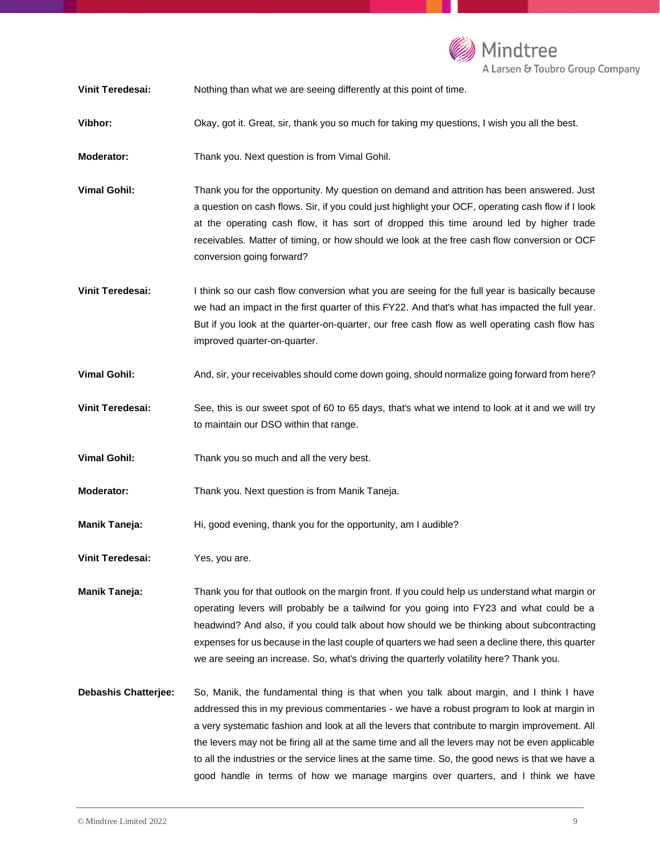

**Vinit Teredesai:** Nothing than what we are seeing differently at this point of time.

**Vibhor:** Okay, got it. Great, sir, thank you so much for taking my questions, I wish you all the best.

**Moderator:** Thank you. Next question is from Vimal Gohil.

- **Vimal Gohil:** Thank you for the opportunity. My question on demand and attrition has been answered. Just a question on cash flows. Sir, if you could just highlight your OCF, operating cash flow if I look at the operating cash flow, it has sort of dropped this time around led by higher trade receivables. Matter of timing, or how should we look at the free cash flow conversion or OCF conversion going forward?
- **Vinit Teredesai:** I think so our cash flow conversion what you are seeing for the full year is basically because we had an impact in the first quarter of this FY22. And that's what has impacted the full year. But if you look at the quarter-on-quarter, our free cash flow as well operating cash flow has improved quarter-on-quarter.
- **Vimal Gohil:** And, sir, your receivables should come down going, should normalize going forward from here?
- **Vinit Teredesai:** See, this is our sweet spot of 60 to 65 days, that's what we intend to look at it and we will try to maintain our DSO within that range.
- **Vimal Gohil:** Thank you so much and all the very best.
- **Moderator:** Thank you. Next question is from Manik Taneja.
- **Manik Taneja:** Hi, good evening, thank you for the opportunity, am I audible?
- **Vinit Teredesai:** Yes, you are.

**Manik Taneja:** Thank you for that outlook on the margin front. If you could help us understand what margin or operating levers will probably be a tailwind for you going into FY23 and what could be a headwind? And also, if you could talk about how should we be thinking about subcontracting expenses for us because in the last couple of quarters we had seen a decline there, this quarter we are seeing an increase. So, what's driving the quarterly volatility here? Thank you.

**Debashis Chatterjee:** So, Manik, the fundamental thing is that when you talk about margin, and I think I have addressed this in my previous commentaries - we have a robust program to look at margin in a very systematic fashion and look at all the levers that contribute to margin improvement. All the levers may not be firing all at the same time and all the levers may not be even applicable to all the industries or the service lines at the same time. So, the good news is that we have a good handle in terms of how we manage margins over quarters, and I think we have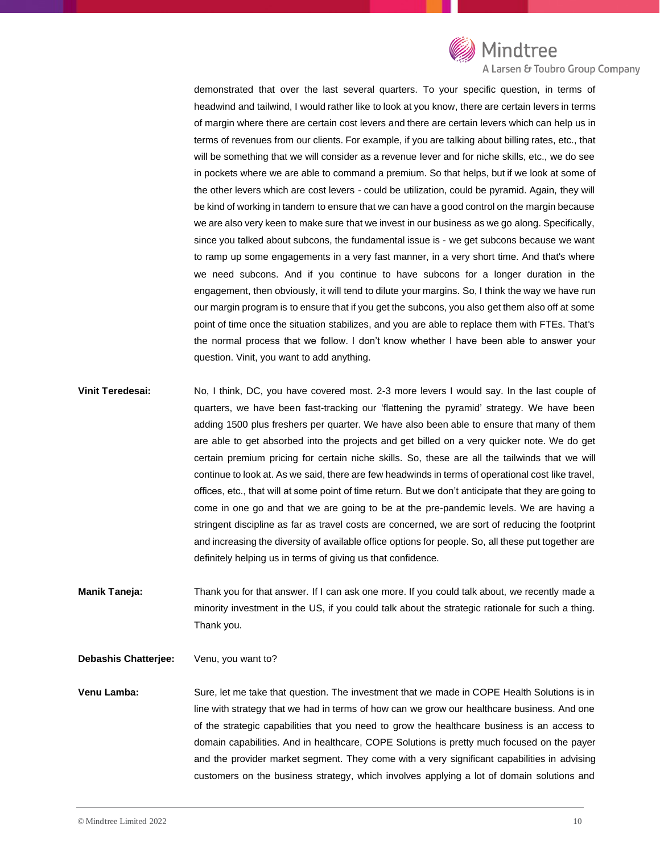

A Larsen & Toubro Group Company

demonstrated that over the last several quarters. To your specific question, in terms of headwind and tailwind, I would rather like to look at you know, there are certain levers in terms of margin where there are certain cost levers and there are certain levers which can help us in terms of revenues from our clients. For example, if you are talking about billing rates, etc., that will be something that we will consider as a revenue lever and for niche skills, etc., we do see in pockets where we are able to command a premium. So that helps, but if we look at some of the other levers which are cost levers - could be utilization, could be pyramid. Again, they will be kind of working in tandem to ensure that we can have a good control on the margin because we are also very keen to make sure that we invest in our business as we go along. Specifically, since you talked about subcons, the fundamental issue is - we get subcons because we want to ramp up some engagements in a very fast manner, in a very short time. And that's where we need subcons. And if you continue to have subcons for a longer duration in the engagement, then obviously, it will tend to dilute your margins. So, I think the way we have run our margin program is to ensure that if you get the subcons, you also get them also off at some point of time once the situation stabilizes, and you are able to replace them with FTEs. That's the normal process that we follow. I don't know whether I have been able to answer your question. Vinit, you want to add anything.

- **Vinit Teredesai:** No, I think, DC, you have covered most. 2-3 more levers I would say. In the last couple of quarters, we have been fast-tracking our 'flattening the pyramid' strategy. We have been adding 1500 plus freshers per quarter. We have also been able to ensure that many of them are able to get absorbed into the projects and get billed on a very quicker note. We do get certain premium pricing for certain niche skills. So, these are all the tailwinds that we will continue to look at. As we said, there are few headwinds in terms of operational cost like travel, offices, etc., that will at some point of time return. But we don't anticipate that they are going to come in one go and that we are going to be at the pre-pandemic levels. We are having a stringent discipline as far as travel costs are concerned, we are sort of reducing the footprint and increasing the diversity of available office options for people. So, all these put together are definitely helping us in terms of giving us that confidence.
- **Manik Taneja:** Thank you for that answer. If I can ask one more. If you could talk about, we recently made a minority investment in the US, if you could talk about the strategic rationale for such a thing. Thank you.

**Debashis Chatterjee:** Venu, you want to?

**Venu Lamba:** Sure, let me take that question. The investment that we made in COPE Health Solutions is in line with strategy that we had in terms of how can we grow our healthcare business. And one of the strategic capabilities that you need to grow the healthcare business is an access to domain capabilities. And in healthcare, COPE Solutions is pretty much focused on the payer and the provider market segment. They come with a very significant capabilities in advising customers on the business strategy, which involves applying a lot of domain solutions and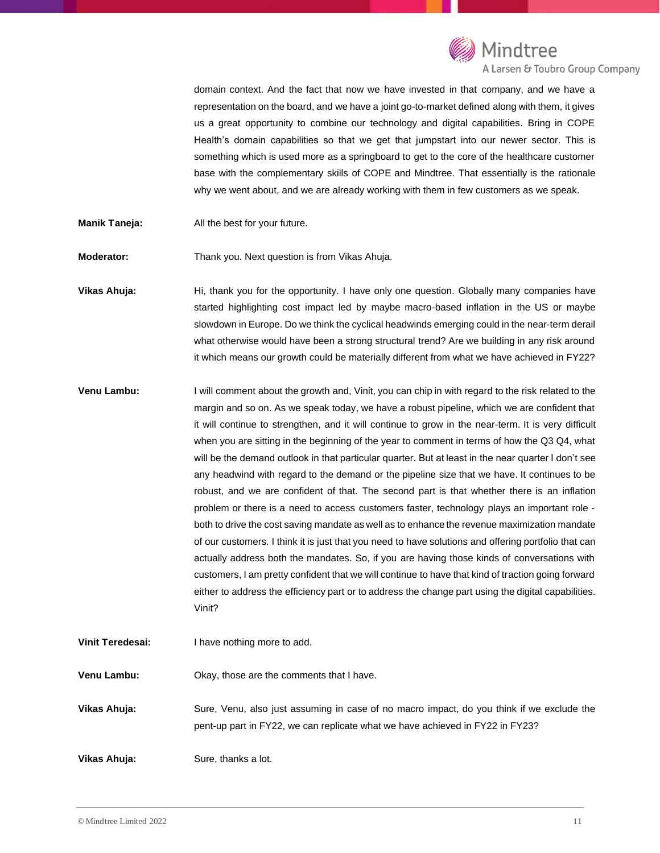

domain context. And the fact that now we have invested in that company, and we have a representation on the board, and we have a joint go-to-market defined along with them, it gives us a great opportunity to combine our technology and digital capabilities. Bring in COPE Health's domain capabilities so that we get that jumpstart into our newer sector. This is something which is used more as a springboard to get to the core of the healthcare customer base with the complementary skills of COPE and Mindtree. That essentially is the rationale why we went about, and we are already working with them in few customers as we speak.

**Manik Taneja:** All the best for your future.

**Moderator:** Thank you. Next question is from Vikas Ahuja.

**Vikas Ahuja:** Hi, thank you for the opportunity. I have only one question. Globally many companies have started highlighting cost impact led by maybe macro-based inflation in the US or maybe slowdown in Europe. Do we think the cyclical headwinds emerging could in the near-term derail what otherwise would have been a strong structural trend? Are we building in any risk around it which means our growth could be materially different from what we have achieved in FY22?

- **Venu Lambu:** I will comment about the growth and, Vinit, you can chip in with regard to the risk related to the margin and so on. As we speak today, we have a robust pipeline, which we are confident that it will continue to strengthen, and it will continue to grow in the near-term. It is very difficult when you are sitting in the beginning of the year to comment in terms of how the Q3 Q4, what will be the demand outlook in that particular quarter. But at least in the near quarter I don't see any headwind with regard to the demand or the pipeline size that we have. It continues to be robust, and we are confident of that. The second part is that whether there is an inflation problem or there is a need to access customers faster, technology plays an important role both to drive the cost saving mandate as well as to enhance the revenue maximization mandate of our customers. I think it is just that you need to have solutions and offering portfolio that can actually address both the mandates. So, if you are having those kinds of conversations with customers, I am pretty confident that we will continue to have that kind of traction going forward either to address the efficiency part or to address the change part using the digital capabilities. Vinit?
- **Vinit Teredesai:** I have nothing more to add.

**Venu Lambu:** Okay, those are the comments that I have.

**Vikas Ahuja:** Sure, Venu, also just assuming in case of no macro impact, do you think if we exclude the pent-up part in FY22, we can replicate what we have achieved in FY22 in FY23?

**Vikas Ahuja:** Sure, thanks a lot.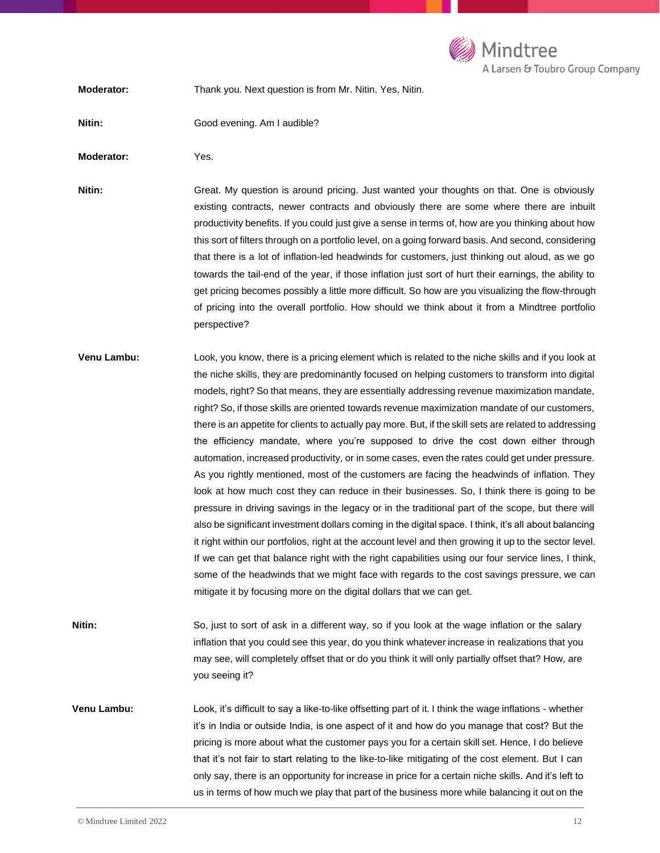

**Moderator:** Thank you. Next question is from Mr. Nitin. Yes, Nitin.

**Nitin:** Good evening. Am I audible?

**Moderator:** Yes.

**Nitin:** Great. My question is around pricing. Just wanted your thoughts on that. One is obviously existing contracts, newer contracts and obviously there are some where there are inbuilt productivity benefits. If you could just give a sense in terms of, how are you thinking about how this sort of filters through on a portfolio level, on a going forward basis. And second, considering that there is a lot of inflation-led headwinds for customers, just thinking out aloud, as we go towards the tail-end of the year, if those inflation just sort of hurt their earnings, the ability to get pricing becomes possibly a little more difficult. So how are you visualizing the flow-through of pricing into the overall portfolio. How should we think about it from a Mindtree portfolio perspective?

- **Venu Lambu:** Look, you know, there is a pricing element which is related to the niche skills and if you look at the niche skills, they are predominantly focused on helping customers to transform into digital models, right? So that means, they are essentially addressing revenue maximization mandate, right? So, if those skills are oriented towards revenue maximization mandate of our customers, there is an appetite for clients to actually pay more. But, if the skill sets are related to addressing the efficiency mandate, where you're supposed to drive the cost down either through automation, increased productivity, or in some cases, even the rates could get under pressure. As you rightly mentioned, most of the customers are facing the headwinds of inflation. They look at how much cost they can reduce in their businesses. So, I think there is going to be pressure in driving savings in the legacy or in the traditional part of the scope, but there will also be significant investment dollars coming in the digital space. I think, it's all about balancing it right within our portfolios, right at the account level and then growing it up to the sector level. If we can get that balance right with the right capabilities using our four service lines, I think, some of the headwinds that we might face with regards to the cost savings pressure, we can mitigate it by focusing more on the digital dollars that we can get.
- **Nitin:** So, just to sort of ask in a different way, so if you look at the wage inflation or the salary inflation that you could see this year, do you think whatever increase in realizations that you may see, will completely offset that or do you think it will only partially offset that? How, are you seeing it?

**Venu Lambu:** Look, it's difficult to say a like-to-like offsetting part of it. I think the wage inflations - whether it's in India or outside India, is one aspect of it and how do you manage that cost? But the pricing is more about what the customer pays you for a certain skill set. Hence, I do believe that it's not fair to start relating to the like-to-like mitigating of the cost element. But I can only say, there is an opportunity for increase in price for a certain niche skills. And it's left to us in terms of how much we play that part of the business more while balancing it out on the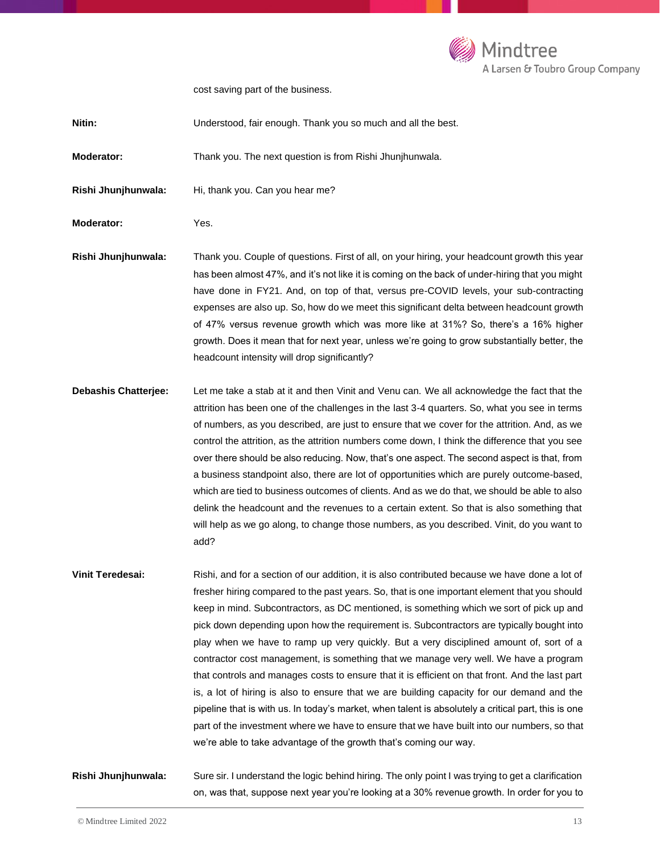

cost saving part of the business.

**Moderator:** Thank you. The next question is from Rishi Jhunjhunwala.

Rishi Jhunjhunwala: Hi, thank you. Can you hear me?

**Moderator:** Yes.

**Rishi Jhunjhunwala:** Thank you. Couple of questions. First of all, on your hiring, your headcount growth this year has been almost 47%, and it's not like it is coming on the back of under-hiring that you might have done in FY21. And, on top of that, versus pre-COVID levels, your sub-contracting expenses are also up. So, how do we meet this significant delta between headcount growth of 47% versus revenue growth which was more like at 31%? So, there's a 16% higher growth. Does it mean that for next year, unless we're going to grow substantially better, the headcount intensity will drop significantly?

- **Debashis Chatterjee:** Let me take a stab at it and then Vinit and Venu can. We all acknowledge the fact that the attrition has been one of the challenges in the last 3-4 quarters. So, what you see in terms of numbers, as you described, are just to ensure that we cover for the attrition. And, as we control the attrition, as the attrition numbers come down, I think the difference that you see over there should be also reducing. Now, that's one aspect. The second aspect is that, from a business standpoint also, there are lot of opportunities which are purely outcome-based, which are tied to business outcomes of clients. And as we do that, we should be able to also delink the headcount and the revenues to a certain extent. So that is also something that will help as we go along, to change those numbers, as you described. Vinit, do you want to add?
- **Vinit Teredesai:** Rishi, and for a section of our addition, it is also contributed because we have done a lot of fresher hiring compared to the past years. So, that is one important element that you should keep in mind. Subcontractors, as DC mentioned, is something which we sort of pick up and pick down depending upon how the requirement is. Subcontractors are typically bought into play when we have to ramp up very quickly. But a very disciplined amount of, sort of a contractor cost management, is something that we manage very well. We have a program that controls and manages costs to ensure that it is efficient on that front. And the last part is, a lot of hiring is also to ensure that we are building capacity for our demand and the pipeline that is with us. In today's market, when talent is absolutely a critical part, this is one part of the investment where we have to ensure that we have built into our numbers, so that we're able to take advantage of the growth that's coming our way.

## **Rishi Jhunjhunwala:** Sure sir. I understand the logic behind hiring. The only point I was trying to get a clarification on, was that, suppose next year you're looking at a 30% revenue growth. In order for you to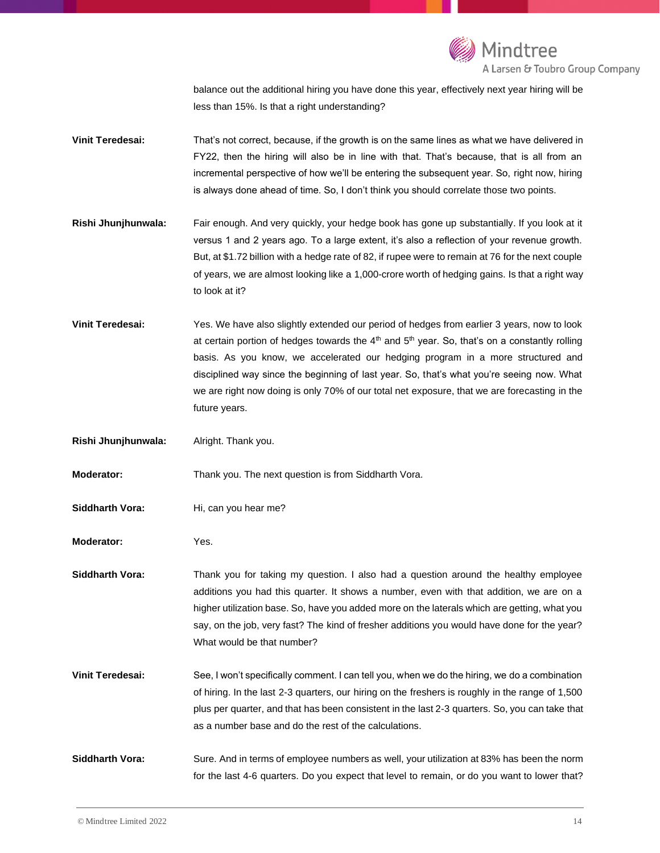

balance out the additional hiring you have done this year, effectively next year hiring will be less than 15%. Is that a right understanding?

**Vinit Teredesai:** That's not correct, because, if the growth is on the same lines as what we have delivered in FY22, then the hiring will also be in line with that. That's because, that is all from an incremental perspective of how we'll be entering the subsequent year. So, right now, hiring is always done ahead of time. So, I don't think you should correlate those two points.

**Rishi Jhunjhunwala:** Fair enough. And very quickly, your hedge book has gone up substantially. If you look at it versus 1 and 2 years ago. To a large extent, it's also a reflection of your revenue growth. But, at \$1.72 billion with a hedge rate of 82, if rupee were to remain at 76 for the next couple of years, we are almost looking like a 1,000-crore worth of hedging gains. Is that a right way to look at it?

**Vinit Teredesai:** Yes. We have also slightly extended our period of hedges from earlier 3 years, now to look at certain portion of hedges towards the  $4<sup>th</sup>$  and  $5<sup>th</sup>$  year. So, that's on a constantly rolling basis. As you know, we accelerated our hedging program in a more structured and disciplined way since the beginning of last year. So, that's what you're seeing now. What we are right now doing is only 70% of our total net exposure, that we are forecasting in the future years.

**Rishi Jhunjhunwala:** Alright. Thank you.

**Moderator:** Thank you. The next question is from Siddharth Vora.

Siddharth Vora: Hi, can you hear me?

**Moderator:** Yes.

**Siddharth Vora:** Thank you for taking my question. I also had a question around the healthy employee additions you had this quarter. It shows a number, even with that addition, we are on a higher utilization base. So, have you added more on the laterals which are getting, what you say, on the job, very fast? The kind of fresher additions you would have done for the year? What would be that number?

**Vinit Teredesai:** See, I won't specifically comment. I can tell you, when we do the hiring, we do a combination of hiring. In the last 2-3 quarters, our hiring on the freshers is roughly in the range of 1,500 plus per quarter, and that has been consistent in the last 2-3 quarters. So, you can take that as a number base and do the rest of the calculations.

**Siddharth Vora:** Sure. And in terms of employee numbers as well, your utilization at 83% has been the norm for the last 4-6 quarters. Do you expect that level to remain, or do you want to lower that?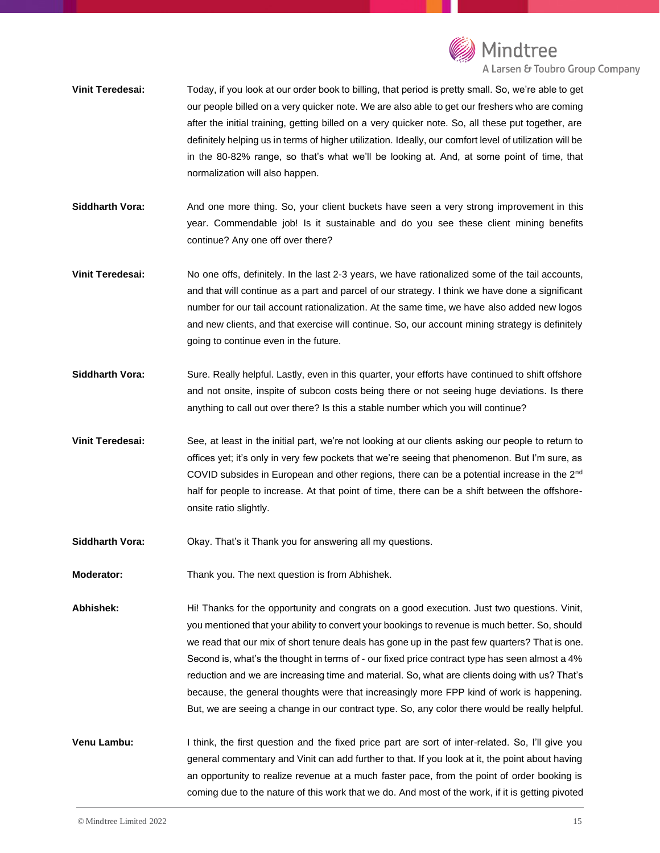

- **Vinit Teredesai:** Today, if you look at our order book to billing, that period is pretty small. So, we're able to get our people billed on a very quicker note. We are also able to get our freshers who are coming after the initial training, getting billed on a very quicker note. So, all these put together, are definitely helping us in terms of higher utilization. Ideally, our comfort level of utilization will be in the 80-82% range, so that's what we'll be looking at. And, at some point of time, that normalization will also happen.
- **Siddharth Vora:** And one more thing. So, your client buckets have seen a very strong improvement in this year. Commendable job! Is it sustainable and do you see these client mining benefits continue? Any one off over there?
- **Vinit Teredesai:** No one offs, definitely. In the last 2-3 years, we have rationalized some of the tail accounts, and that will continue as a part and parcel of our strategy. I think we have done a significant number for our tail account rationalization. At the same time, we have also added new logos and new clients, and that exercise will continue. So, our account mining strategy is definitely going to continue even in the future.
- **Siddharth Vora:** Sure. Really helpful. Lastly, even in this quarter, your efforts have continued to shift offshore and not onsite, inspite of subcon costs being there or not seeing huge deviations. Is there anything to call out over there? Is this a stable number which you will continue?
- **Vinit Teredesai:** See, at least in the initial part, we're not looking at our clients asking our people to return to offices yet; it's only in very few pockets that we're seeing that phenomenon. But I'm sure, as COVID subsides in European and other regions, there can be a potential increase in the 2nd half for people to increase. At that point of time, there can be a shift between the offshoreonsite ratio slightly.
- **Siddharth Vora:** Okay. That's it Thank you for answering all my questions.
- **Moderator:** Thank you. The next question is from Abhishek.

**Abhishek:** Hi! Thanks for the opportunity and congrats on a good execution. Just two questions. Vinit, you mentioned that your ability to convert your bookings to revenue is much better. So, should we read that our mix of short tenure deals has gone up in the past few quarters? That is one. Second is, what's the thought in terms of - our fixed price contract type has seen almost a 4% reduction and we are increasing time and material. So, what are clients doing with us? That's because, the general thoughts were that increasingly more FPP kind of work is happening. But, we are seeing a change in our contract type. So, any color there would be really helpful.

**Venu Lambu:** I think, the first question and the fixed price part are sort of inter-related. So, I'll give you general commentary and Vinit can add further to that. If you look at it, the point about having an opportunity to realize revenue at a much faster pace, from the point of order booking is coming due to the nature of this work that we do. And most of the work, if it is getting pivoted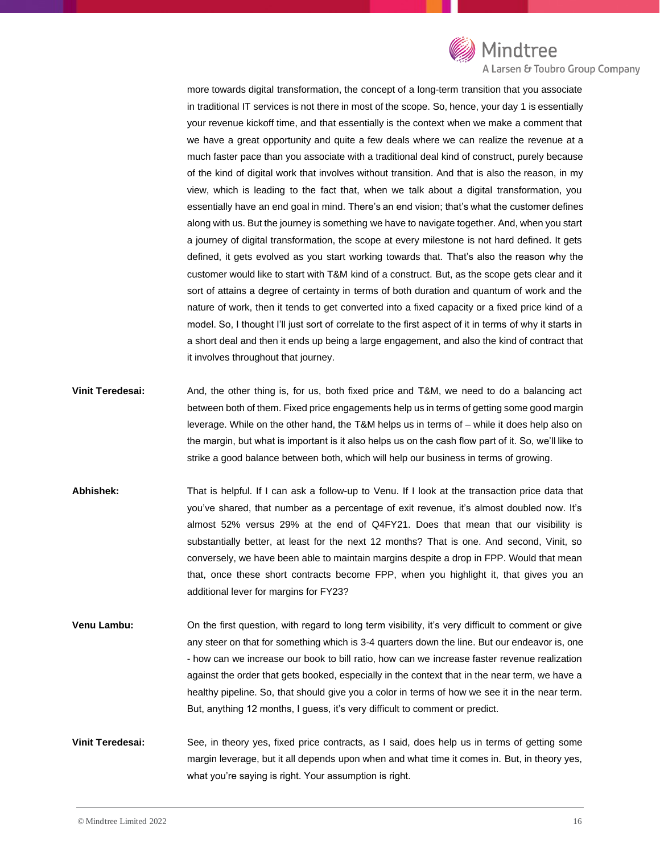

more towards digital transformation, the concept of a long-term transition that you associate in traditional IT services is not there in most of the scope. So, hence, your day 1 is essentially your revenue kickoff time, and that essentially is the context when we make a comment that we have a great opportunity and quite a few deals where we can realize the revenue at a much faster pace than you associate with a traditional deal kind of construct, purely because of the kind of digital work that involves without transition. And that is also the reason, in my view, which is leading to the fact that, when we talk about a digital transformation, you essentially have an end goal in mind. There's an end vision; that's what the customer defines along with us. But the journey is something we have to navigate together. And, when you start a journey of digital transformation, the scope at every milestone is not hard defined. It gets defined, it gets evolved as you start working towards that. That's also the reason why the customer would like to start with T&M kind of a construct. But, as the scope gets clear and it sort of attains a degree of certainty in terms of both duration and quantum of work and the nature of work, then it tends to get converted into a fixed capacity or a fixed price kind of a model. So, I thought I'll just sort of correlate to the first aspect of it in terms of why it starts in a short deal and then it ends up being a large engagement, and also the kind of contract that it involves throughout that journey.

- **Vinit Teredesai:** And, the other thing is, for us, both fixed price and T&M, we need to do a balancing act between both of them. Fixed price engagements help us in terms of getting some good margin leverage. While on the other hand, the T&M helps us in terms of – while it does help also on the margin, but what is important is it also helps us on the cash flow part of it. So, we'll like to strike a good balance between both, which will help our business in terms of growing.
- **Abhishek:** That is helpful. If I can ask a follow-up to Venu. If I look at the transaction price data that you've shared, that number as a percentage of exit revenue, it's almost doubled now. It's almost 52% versus 29% at the end of Q4FY21. Does that mean that our visibility is substantially better, at least for the next 12 months? That is one. And second, Vinit, so conversely, we have been able to maintain margins despite a drop in FPP. Would that mean that, once these short contracts become FPP, when you highlight it, that gives you an additional lever for margins for FY23?
- **Venu Lambu:** On the first question, with regard to long term visibility, it's very difficult to comment or give any steer on that for something which is 3-4 quarters down the line. But our endeavor is, one - how can we increase our book to bill ratio, how can we increase faster revenue realization against the order that gets booked, especially in the context that in the near term, we have a healthy pipeline. So, that should give you a color in terms of how we see it in the near term. But, anything 12 months, I guess, it's very difficult to comment or predict.
- **Vinit Teredesai:** See, in theory yes, fixed price contracts, as I said, does help us in terms of getting some margin leverage, but it all depends upon when and what time it comes in. But, in theory yes, what you're saying is right. Your assumption is right.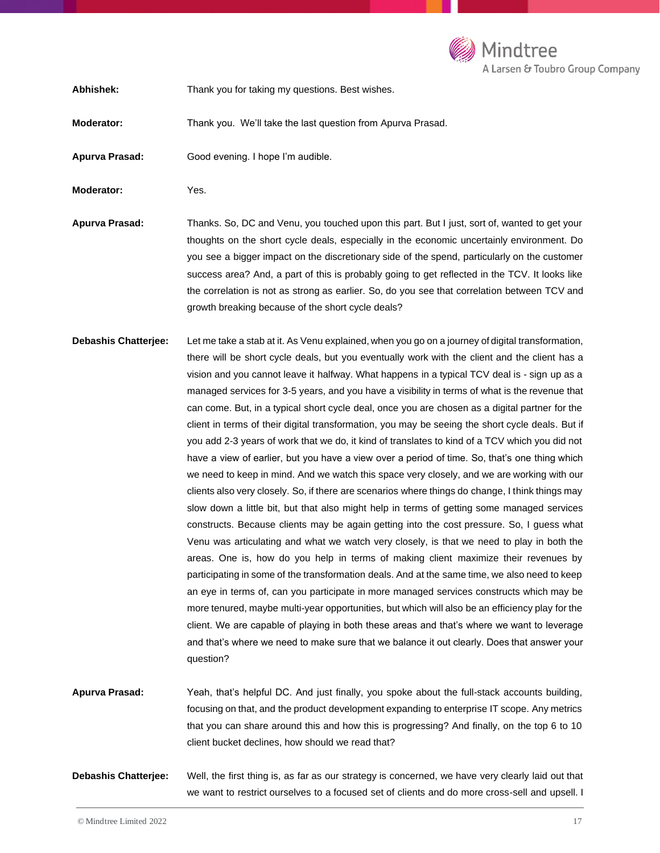

**Abhishek:** Thank you for taking my questions. Best wishes.

**Moderator:** Thank you. We'll take the last question from Apurva Prasad.

**Apurva Prasad:** Good evening. I hope I'm audible.

**Moderator:** Yes.

**Apurva Prasad:** Thanks. So, DC and Venu, you touched upon this part. But I just, sort of, wanted to get your thoughts on the short cycle deals, especially in the economic uncertainly environment. Do you see a bigger impact on the discretionary side of the spend, particularly on the customer success area? And, a part of this is probably going to get reflected in the TCV. It looks like the correlation is not as strong as earlier. So, do you see that correlation between TCV and growth breaking because of the short cycle deals?

**Debashis Chatterjee:** Let me take a stab at it. As Venu explained, when you go on a journey of digital transformation, there will be short cycle deals, but you eventually work with the client and the client has a vision and you cannot leave it halfway. What happens in a typical TCV deal is - sign up as a managed services for 3-5 years, and you have a visibility in terms of what is the revenue that can come. But, in a typical short cycle deal, once you are chosen as a digital partner for the client in terms of their digital transformation, you may be seeing the short cycle deals. But if you add 2-3 years of work that we do, it kind of translates to kind of a TCV which you did not have a view of earlier, but you have a view over a period of time. So, that's one thing which we need to keep in mind. And we watch this space very closely, and we are working with our clients also very closely. So, if there are scenarios where things do change, I think things may slow down a little bit, but that also might help in terms of getting some managed services constructs. Because clients may be again getting into the cost pressure. So, I guess what Venu was articulating and what we watch very closely, is that we need to play in both the areas. One is, how do you help in terms of making client maximize their revenues by participating in some of the transformation deals. And at the same time, we also need to keep an eye in terms of, can you participate in more managed services constructs which may be more tenured, maybe multi-year opportunities, but which will also be an efficiency play for the client. We are capable of playing in both these areas and that's where we want to leverage and that's where we need to make sure that we balance it out clearly. Does that answer your question?

**Apurva Prasad:** Yeah, that's helpful DC. And just finally, you spoke about the full-stack accounts building, focusing on that, and the product development expanding to enterprise IT scope. Any metrics that you can share around this and how this is progressing? And finally, on the top 6 to 10 client bucket declines, how should we read that?

**Debashis Chatterjee:** Well, the first thing is, as far as our strategy is concerned, we have very clearly laid out that we want to restrict ourselves to a focused set of clients and do more cross-sell and upsell. I